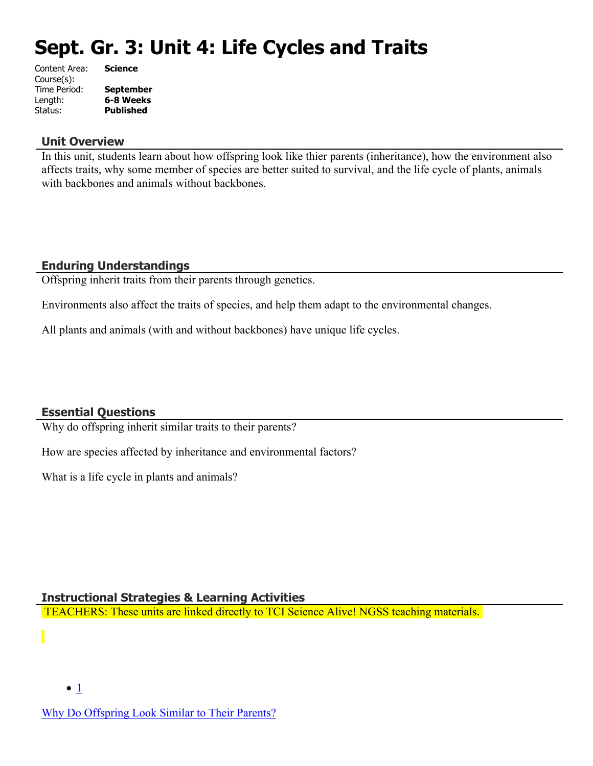# **Sept. Gr. 3: Unit 4: Life Cycles and Traits**

| Content Area: | <b>Science</b>   |
|---------------|------------------|
| Course(s):    |                  |
| Time Period:  | <b>September</b> |
| Length:       | 6-8 Weeks        |
| Status:       | <b>Published</b> |
|               |                  |

#### **Unit Overview**

In this unit, students learn about how offspring look like thier parents (inheritance), how the environment also affects traits, why some member of species are better suited to survival, and the life cycle of plants, animals with backbones and animals without backbones.

# **Enduring Understandings**

Offspring inherit traits from their parents through genetics.

Environments also affect the traits of species, and help them adapt to the environmental changes.

All plants and animals (with and without backbones) have unique life cycles.

# **Essential Questions**

Why do offspring inherit similar traits to their parents?

How are species affected by inheritance and environmental factors?

What is a life cycle in plants and animals?

#### **Instructional Strategies & Learning Activities**

TEACHERS: These units are linked directly to TCI Science Alive! NGSS teaching materials.

[Why Do Offspring Look Similar to Their Parents?](https://subscriptions.teachtci.com/shared/programs/154/lessons/1501/slide_shows)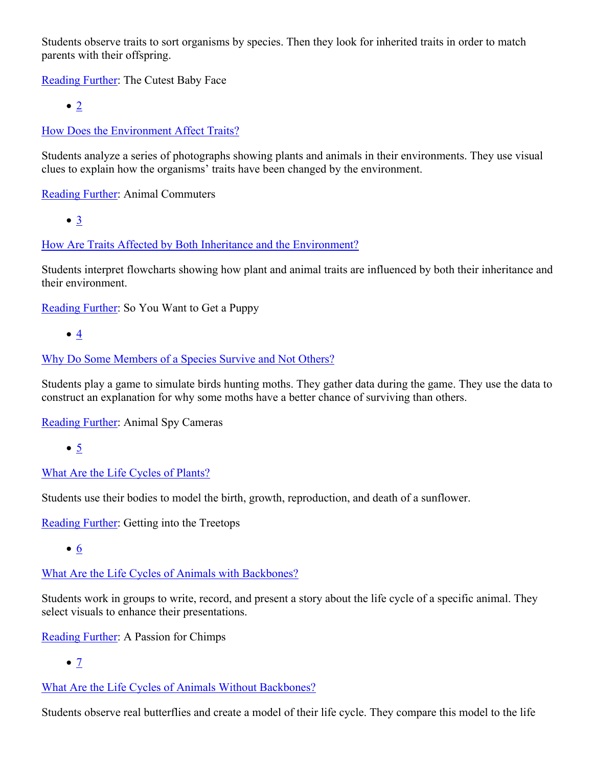Students observe traits to sort organisms by species. Then they look for inherited traits in order to match parents with their offspring.

[Reading Further](https://subscriptions.teachtci.com/shared/sections/11507?program_id=154&student_view=true): The Cutest Baby Face

 $\bullet$  [2](https://subscriptions.teachtci.com/shared/programs/154/lessons/1502/slide_shows)

[How Does the Environment Affect Traits?](https://subscriptions.teachtci.com/shared/programs/154/lessons/1502/slide_shows)

Students analyze a series of photographs showing plants and animals in their environments. They use visual clues to explain how the organisms' traits have been changed by the environment.

[Reading Further](https://subscriptions.teachtci.com/shared/sections/11521?program_id=154&student_view=true): Animal Commuters

[3](https://subscriptions.teachtci.com/shared/programs/154/lessons/1503/slide_shows)

[How Are Traits Affected by Both Inheritance and the Environment?](https://subscriptions.teachtci.com/shared/programs/154/lessons/1503/slide_shows)

Students interpret flowcharts showing how plant and animal traits are influenced by both their inheritance and their environment.

[Reading Further](https://subscriptions.teachtci.com/shared/sections/11536?program_id=154&student_view=true): So You Want to Get a Puppy

 $\bullet$   $4$ 

#### [Why Do Some Members of a Species Survive and Not Others?](https://subscriptions.teachtci.com/shared/programs/154/lessons/1504/slide_shows)

Students play a game to simulate birds hunting moths. They gather data during the game. They use the data to construct an explanation for why some moths have a better chance of surviving than others.

[Reading Further](https://subscriptions.teachtci.com/shared/sections/11563?program_id=154&student_view=true): Animal Spy Cameras

 $• 5$  $• 5$ 

# [What Are the Life Cycles of Plants?](https://subscriptions.teachtci.com/shared/programs/154/lessons/1505/slide_shows)

Students use their bodies to model the birth, growth, reproduction, and death of a sunflower.

[Reading Further](https://subscriptions.teachtci.com/shared/sections/11587?program_id=154&student_view=true): Getting into the Treetops

[6](https://subscriptions.teachtci.com/shared/programs/154/lessons/1506/slide_shows)

[What Are the Life Cycles of Animals with Backbones?](https://subscriptions.teachtci.com/shared/programs/154/lessons/1506/slide_shows)

Students work in groups to write, record, and present a story about the life cycle of a specific animal. They select visuals to enhance their presentations.

[Reading Further](https://subscriptions.teachtci.com/shared/sections/11611?program_id=154&student_view=true): A Passion for Chimps

 $\bullet$  [7](https://subscriptions.teachtci.com/shared/programs/154/lessons/1507/slide_shows)

[What Are the Life Cycles of Animals Without Backbones?](https://subscriptions.teachtci.com/shared/programs/154/lessons/1507/slide_shows)

Students observe real butterflies and create a model of their life cycle. They compare this model to the life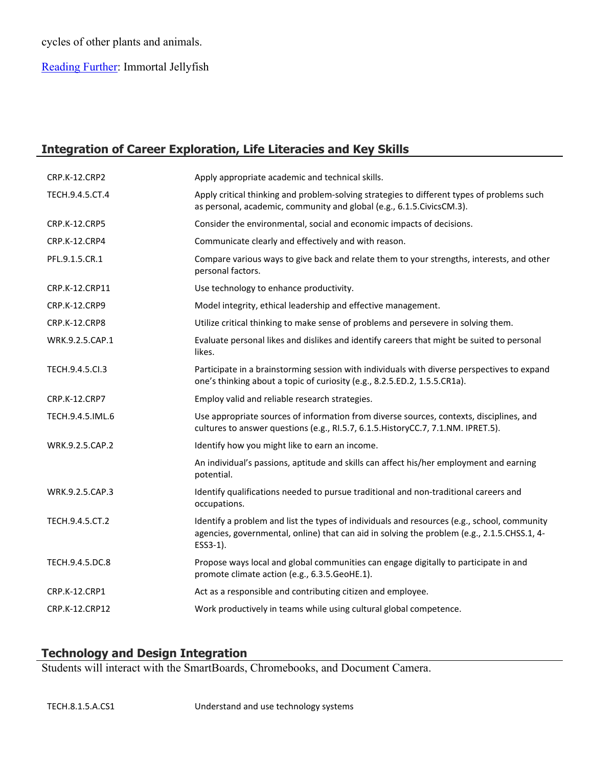# cycles of other plants and animals.

[Reading Further](https://subscriptions.teachtci.com/shared/sections/11639?program_id=154&student_view=true): Immortal Jellyfish

# **Integration of Career Exploration, Life Literacies and Key Skills**

| CRP.K-12.CRP2        | Apply appropriate academic and technical skills.                                                                                                                                                       |
|----------------------|--------------------------------------------------------------------------------------------------------------------------------------------------------------------------------------------------------|
| TECH.9.4.5.CT.4      | Apply critical thinking and problem-solving strategies to different types of problems such<br>as personal, academic, community and global (e.g., 6.1.5.CivicsCM.3).                                    |
| <b>CRP.K-12.CRP5</b> | Consider the environmental, social and economic impacts of decisions.                                                                                                                                  |
| CRP.K-12.CRP4        | Communicate clearly and effectively and with reason.                                                                                                                                                   |
| PFL.9.1.5.CR.1       | Compare various ways to give back and relate them to your strengths, interests, and other<br>personal factors.                                                                                         |
| CRP.K-12.CRP11       | Use technology to enhance productivity.                                                                                                                                                                |
| CRP.K-12.CRP9        | Model integrity, ethical leadership and effective management.                                                                                                                                          |
| <b>CRP.K-12.CRP8</b> | Utilize critical thinking to make sense of problems and persevere in solving them.                                                                                                                     |
| WRK.9.2.5.CAP.1      | Evaluate personal likes and dislikes and identify careers that might be suited to personal<br>likes.                                                                                                   |
| TECH.9.4.5.Cl.3      | Participate in a brainstorming session with individuals with diverse perspectives to expand<br>one's thinking about a topic of curiosity (e.g., 8.2.5.ED.2, 1.5.5.CR1a).                               |
| <b>CRP.K-12.CRP7</b> | Employ valid and reliable research strategies.                                                                                                                                                         |
| TECH.9.4.5.IML.6     | Use appropriate sources of information from diverse sources, contexts, disciplines, and<br>cultures to answer questions (e.g., RI.5.7, 6.1.5. HistoryCC.7, 7.1.NM. IPRET.5).                           |
| WRK.9.2.5.CAP.2      | Identify how you might like to earn an income.                                                                                                                                                         |
|                      | An individual's passions, aptitude and skills can affect his/her employment and earning<br>potential.                                                                                                  |
| WRK.9.2.5.CAP.3      | Identify qualifications needed to pursue traditional and non-traditional careers and<br>occupations.                                                                                                   |
| TECH.9.4.5.CT.2      | Identify a problem and list the types of individuals and resources (e.g., school, community<br>agencies, governmental, online) that can aid in solving the problem (e.g., 2.1.5.CHSS.1, 4-<br>ESS3-1). |
| TECH.9.4.5.DC.8      | Propose ways local and global communities can engage digitally to participate in and<br>promote climate action (e.g., 6.3.5.GeoHE.1).                                                                  |
| CRP.K-12.CRP1        | Act as a responsible and contributing citizen and employee.                                                                                                                                            |
| CRP.K-12.CRP12       | Work productively in teams while using cultural global competence.                                                                                                                                     |
|                      |                                                                                                                                                                                                        |

# **Technology and Design Integration**

Students will interact with the SmartBoards, Chromebooks, and Document Camera.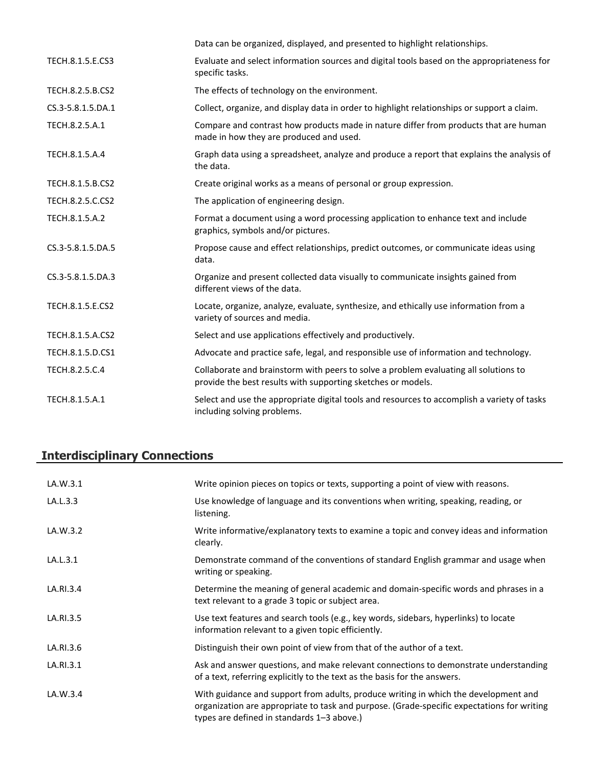|                   | Data can be organized, displayed, and presented to highlight relationships.                                                                          |
|-------------------|------------------------------------------------------------------------------------------------------------------------------------------------------|
| TECH.8.1.5.E.CS3  | Evaluate and select information sources and digital tools based on the appropriateness for<br>specific tasks.                                        |
| TECH.8.2.5.B.CS2  | The effects of technology on the environment.                                                                                                        |
| CS.3-5.8.1.5.DA.1 | Collect, organize, and display data in order to highlight relationships or support a claim.                                                          |
| TECH.8.2.5.A.1    | Compare and contrast how products made in nature differ from products that are human<br>made in how they are produced and used.                      |
| TECH.8.1.5.A.4    | Graph data using a spreadsheet, analyze and produce a report that explains the analysis of<br>the data.                                              |
| TECH.8.1.5.B.CS2  | Create original works as a means of personal or group expression.                                                                                    |
| TECH.8.2.5.C.CS2  | The application of engineering design.                                                                                                               |
| TECH.8.1.5.A.2    | Format a document using a word processing application to enhance text and include<br>graphics, symbols and/or pictures.                              |
| CS.3-5.8.1.5.DA.5 | Propose cause and effect relationships, predict outcomes, or communicate ideas using<br>data.                                                        |
| CS.3-5.8.1.5.DA.3 | Organize and present collected data visually to communicate insights gained from<br>different views of the data.                                     |
| TECH.8.1.5.E.CS2  | Locate, organize, analyze, evaluate, synthesize, and ethically use information from a<br>variety of sources and media.                               |
| TECH.8.1.5.A.CS2  | Select and use applications effectively and productively.                                                                                            |
| TECH.8.1.5.D.CS1  | Advocate and practice safe, legal, and responsible use of information and technology.                                                                |
| TECH.8.2.5.C.4    | Collaborate and brainstorm with peers to solve a problem evaluating all solutions to<br>provide the best results with supporting sketches or models. |
| TECH.8.1.5.A.1    | Select and use the appropriate digital tools and resources to accomplish a variety of tasks<br>including solving problems.                           |

# **Interdisciplinary Connections**

| LA.W.3.1  | Write opinion pieces on topics or texts, supporting a point of view with reasons.                                                                                                                                               |
|-----------|---------------------------------------------------------------------------------------------------------------------------------------------------------------------------------------------------------------------------------|
| LA.L.3.3  | Use knowledge of language and its conventions when writing, speaking, reading, or<br>listening.                                                                                                                                 |
| LA.W.3.2  | Write informative/explanatory texts to examine a topic and convey ideas and information<br>clearly.                                                                                                                             |
| LA.L.3.1  | Demonstrate command of the conventions of standard English grammar and usage when<br>writing or speaking.                                                                                                                       |
| LA.RI.3.4 | Determine the meaning of general academic and domain-specific words and phrases in a<br>text relevant to a grade 3 topic or subject area.                                                                                       |
| LA.RI.3.5 | Use text features and search tools (e.g., key words, sidebars, hyperlinks) to locate<br>information relevant to a given topic efficiently.                                                                                      |
| LA.RI.3.6 | Distinguish their own point of view from that of the author of a text.                                                                                                                                                          |
| LA.RI.3.1 | Ask and answer questions, and make relevant connections to demonstrate understanding<br>of a text, referring explicitly to the text as the basis for the answers.                                                               |
| LA.W.3.4  | With guidance and support from adults, produce writing in which the development and<br>organization are appropriate to task and purpose. (Grade-specific expectations for writing<br>types are defined in standards 1-3 above.) |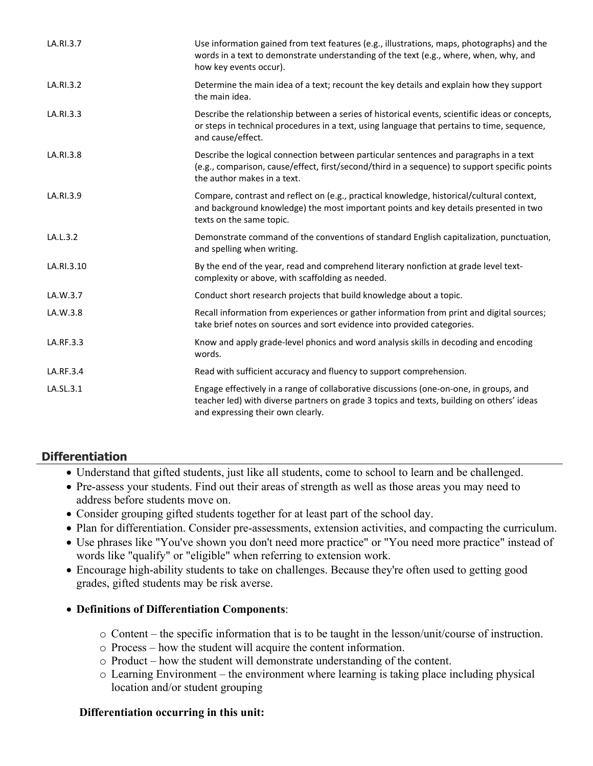| LA.RI.3.7  | Use information gained from text features (e.g., illustrations, maps, photographs) and the<br>words in a text to demonstrate understanding of the text (e.g., where, when, why, and<br>how key events occur).            |
|------------|--------------------------------------------------------------------------------------------------------------------------------------------------------------------------------------------------------------------------|
| LA.RI.3.2  | Determine the main idea of a text; recount the key details and explain how they support<br>the main idea.                                                                                                                |
| LA.RI.3.3  | Describe the relationship between a series of historical events, scientific ideas or concepts,<br>or steps in technical procedures in a text, using language that pertains to time, sequence,<br>and cause/effect.       |
| LA.RI.3.8  | Describe the logical connection between particular sentences and paragraphs in a text<br>(e.g., comparison, cause/effect, first/second/third in a sequence) to support specific points<br>the author makes in a text.    |
| LA.RI.3.9  | Compare, contrast and reflect on (e.g., practical knowledge, historical/cultural context,<br>and background knowledge) the most important points and key details presented in two<br>texts on the same topic.            |
| LA.L.3.2   | Demonstrate command of the conventions of standard English capitalization, punctuation,<br>and spelling when writing.                                                                                                    |
| LA.RI.3.10 | By the end of the year, read and comprehend literary nonfiction at grade level text-<br>complexity or above, with scaffolding as needed.                                                                                 |
| LA.W.3.7   | Conduct short research projects that build knowledge about a topic.                                                                                                                                                      |
| LA.W.3.8   | Recall information from experiences or gather information from print and digital sources;<br>take brief notes on sources and sort evidence into provided categories.                                                     |
| LA.RF.3.3  | Know and apply grade-level phonics and word analysis skills in decoding and encoding<br>words.                                                                                                                           |
| LA.RF.3.4  | Read with sufficient accuracy and fluency to support comprehension.                                                                                                                                                      |
| LA.SL.3.1  | Engage effectively in a range of collaborative discussions (one-on-one, in groups, and<br>teacher led) with diverse partners on grade 3 topics and texts, building on others' ideas<br>and expressing their own clearly. |

# **Differentiation**

- Understand that gifted students, just like all students, come to school to learn and be challenged.
- Pre-assess your students. Find out their areas of strength as well as those areas you may need to address before students move on.
- Consider grouping gifted students together for at least part of the school day.
- Plan for differentiation. Consider pre-assessments, extension activities, and compacting the curriculum.
- Use phrases like "You've shown you don't need more practice" or "You need more practice" instead of words like "qualify" or "eligible" when referring to extension work.
- Encourage high-ability students to take on challenges. Because they're often used to getting good grades, gifted students may be risk averse.

#### **Definitions of Differentiation Components**:

- o Content the specific information that is to be taught in the lesson/unit/course of instruction.
- o Process how the student will acquire the content information.
- o Product how the student will demonstrate understanding of the content.
- o Learning Environment the environment where learning is taking place including physical location and/or student grouping

#### **Differentiation occurring in this unit:**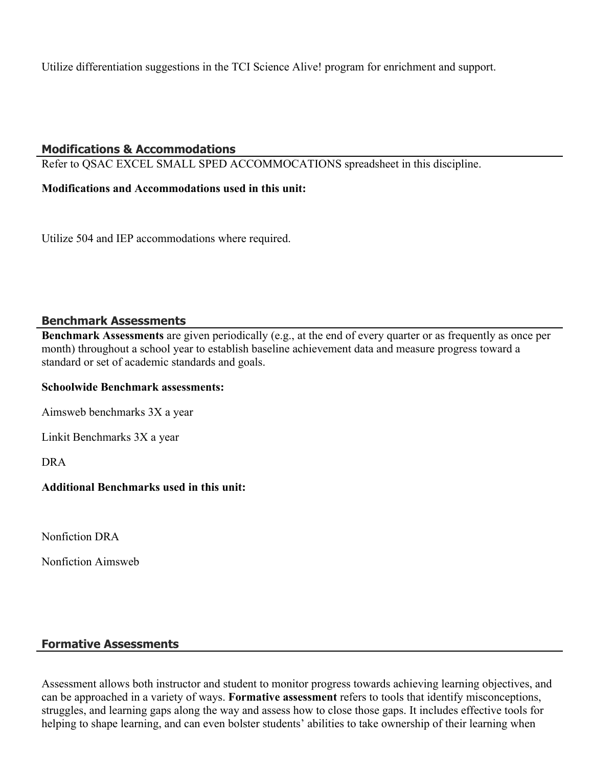Utilize differentiation suggestions in the TCI Science Alive! program for enrichment and support.

#### **Modifications & Accommodations**

Refer to QSAC EXCEL SMALL SPED ACCOMMOCATIONS spreadsheet in this discipline.

**Modifications and Accommodations used in this unit:**

Utilize 504 and IEP accommodations where required.

#### **Benchmark Assessments**

**Benchmark Assessments** are given periodically (e.g., at the end of every quarter or as frequently as once per month) throughout a school year to establish baseline achievement data and measure progress toward a standard or set of academic standards and goals.

#### **Schoolwide Benchmark assessments:**

Aimsweb benchmarks 3X a year

Linkit Benchmarks 3X a year

DRA

#### **Additional Benchmarks used in this unit:**

Nonfiction DRA

Nonfiction Aimsweb

#### **Formative Assessments**

Assessment allows both instructor and student to monitor progress towards achieving learning objectives, and can be approached in a variety of ways. **Formative assessment** refers to tools that identify misconceptions, struggles, and learning gaps along the way and assess how to close those gaps. It includes effective tools for helping to shape learning, and can even bolster students' abilities to take ownership of their learning when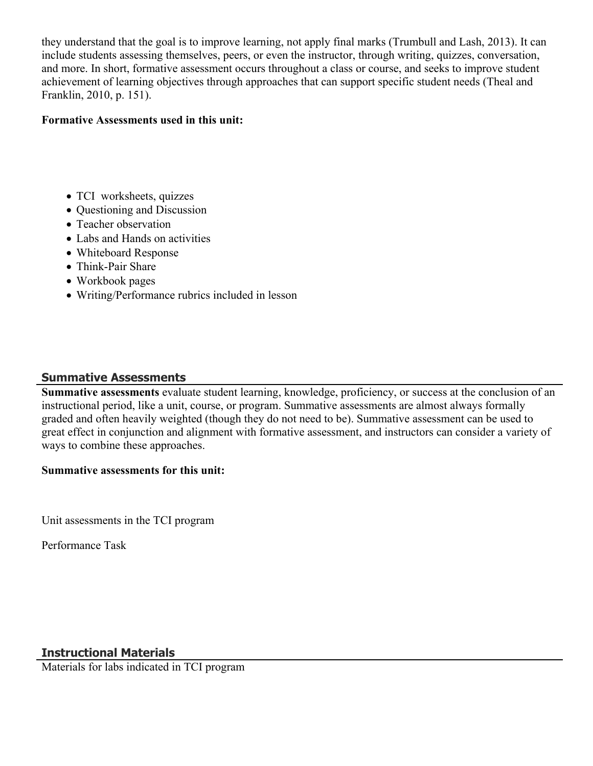they understand that the goal is to improve learning, not apply final marks (Trumbull and Lash, 2013). It can include students assessing themselves, peers, or even the instructor, through writing, quizzes, conversation, and more. In short, formative assessment occurs throughout a class or course, and seeks to improve student achievement of learning objectives through approaches that can support specific student needs (Theal and Franklin, 2010, p. 151).

#### **Formative Assessments used in this unit:**

- TCI worksheets, quizzes
- Questioning and Discussion
- Teacher observation
- Labs and Hands on activities
- Whiteboard Response
- Think-Pair Share
- Workbook pages
- Writing/Performance rubrics included in lesson

# **Summative Assessments**

**Summative assessments** evaluate student learning, knowledge, proficiency, or success at the conclusion of an instructional period, like a unit, course, or program. Summative assessments are almost always formally graded and often heavily weighted (though they do not need to be). Summative assessment can be used to great effect in conjunction and alignment with formative assessment, and instructors can consider a variety of ways to combine these approaches.

#### **Summative assessments for this unit:**

Unit assessments in the TCI program

Performance Task

# **Instructional Materials**

Materials for labs indicated in TCI program